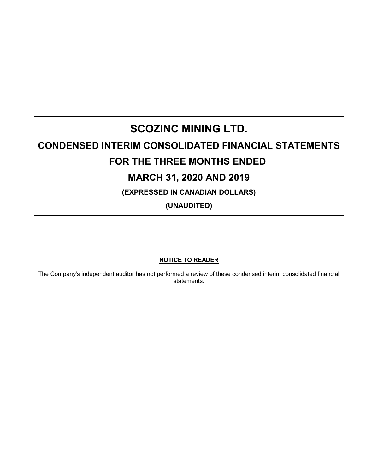# **SCOZINC MINING LTD. CONDENSED INTERIM CONSOLIDATED FINANCIAL STATEMENTS FOR THE THREE MONTHS ENDED MARCH 31, 2020 AND 2019 (EXPRESSED IN CANADIAN DOLLARS)**

**(UNAUDITED)**

# **NOTICE TO READER**

The Company's independent auditor has not performed a review of these condensed interim consolidated financial statements.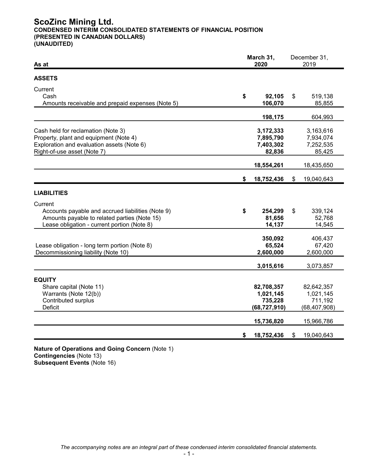# **ScoZinc Mining Ltd. CONDENSED INTERIM CONSOLIDATED STATEMENTS OF FINANCIAL POSITION (PRESENTED IN CANADIAN DOLLARS) (UNAUDITED)**

| As at                                                                                                                                                       | March 31,<br>2020 |                                                      | December 31,<br>2019                                 |  |
|-------------------------------------------------------------------------------------------------------------------------------------------------------------|-------------------|------------------------------------------------------|------------------------------------------------------|--|
| <b>ASSETS</b>                                                                                                                                               |                   |                                                      |                                                      |  |
| Current<br>Cash<br>Amounts receivable and prepaid expenses (Note 5)                                                                                         | \$                | 92,105<br>106,070                                    | \$<br>519,138<br>85,855                              |  |
|                                                                                                                                                             |                   | 198,175                                              | 604,993                                              |  |
| Cash held for reclamation (Note 3)<br>Property, plant and equipment (Note 4)<br>Exploration and evaluation assets (Note 6)<br>Right-of-use asset (Note 7)   |                   | 3,172,333<br>7,895,790<br>7,403,302<br>82,836        | 3,163,616<br>7,934,074<br>7,252,535<br>85,425        |  |
|                                                                                                                                                             |                   | 18,554,261                                           | 18,435,650                                           |  |
|                                                                                                                                                             | \$                | 18,752,436                                           | \$<br>19,040,643                                     |  |
| <b>LIABILITIES</b>                                                                                                                                          |                   |                                                      |                                                      |  |
| Current<br>Accounts payable and accrued liabilities (Note 9)<br>Amounts payable to related parties (Note 15)<br>Lease obligation - current portion (Note 8) | \$                | 254,299<br>81,656<br>14,137                          | \$<br>339,124<br>52,768<br>14,545                    |  |
| Lease obligation - long term portion (Note 8)<br>Decommissioning liability (Note 10)                                                                        |                   | 350,092<br>65,524<br>2,600,000                       | 406,437<br>67,420<br>2,600,000                       |  |
|                                                                                                                                                             |                   | 3,015,616                                            | 3,073,857                                            |  |
| <b>EQUITY</b><br>Share capital (Note 11)<br>Warrants (Note 12(b))<br>Contributed surplus<br><b>Deficit</b>                                                  |                   | 82,708,357<br>1,021,145<br>735,228<br>(68, 727, 910) | 82,642,357<br>1,021,145<br>711,192<br>(68, 407, 908) |  |
|                                                                                                                                                             |                   | 15,736,820                                           | 15,966,786                                           |  |
|                                                                                                                                                             | \$                | 18,752,436                                           | \$<br>19,040,643                                     |  |

**Nature of Operations and Going Concern** (Note 1) **Contingencies** (Note 13) **Subsequent Events** (Note 16)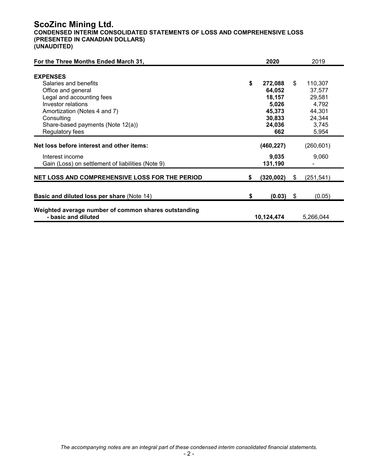# **ScoZinc Mining Ltd.**

**CONDENSED INTERIM CONSOLIDATED STATEMENTS OF LOSS AND COMPREHENSIVE LOSS (PRESENTED IN CANADIAN DOLLARS) (UNAUDITED)**

| For the Three Months Ended March 31,                                        |    | 2020       |     | 2019       |
|-----------------------------------------------------------------------------|----|------------|-----|------------|
| <b>EXPENSES</b>                                                             |    |            |     |            |
| Salaries and benefits                                                       | \$ | 272,088    | \$  | 110,307    |
| Office and general                                                          |    | 64,052     |     | 37,577     |
| Legal and accounting fees                                                   |    | 18,157     |     | 29,581     |
| <b>Investor relations</b>                                                   |    | 5,026      |     | 4,792      |
| Amortization (Notes 4 and 7)                                                |    | 45,373     |     | 44,301     |
| Consulting                                                                  |    | 30,833     |     | 24,344     |
| Share-based payments (Note 12(a))                                           |    | 24,036     |     | 3,745      |
| Regulatory fees                                                             |    | 662        |     | 5,954      |
| Net loss before interest and other items:                                   |    | (460, 227) |     | (260, 601) |
| Interest income                                                             |    | 9,035      |     | 9,060      |
| Gain (Loss) on settlement of liabilities (Note 9)                           |    | 131,190    |     |            |
| NET LOSS AND COMPREHENSIVE LOSS FOR THE PERIOD                              | S  | (320, 002) | \$  | (251, 541) |
|                                                                             |    |            |     |            |
| <b>Basic and diluted loss per share (Note 14)</b>                           | \$ | (0.03)     | -\$ | (0.05)     |
| Weighted average number of common shares outstanding<br>- basic and diluted |    | 10,124,474 |     | 5,266,044  |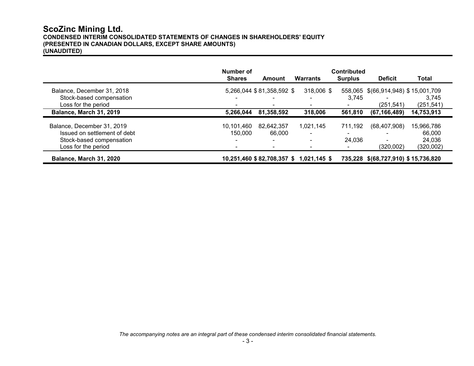# **ScoZinc Mining Ltd. CONDENSED INTERIM CONSOLIDATED STATEMENTS OF CHANGES IN SHAREHOLDERS' EQUITY (PRESENTED IN CANADIAN DOLLARS, EXCEPT SHARE AMOUNTS) (UNAUDITED)**

|                              | Number of     |                           |                                        | <b>Contributed</b> |                                     |            |
|------------------------------|---------------|---------------------------|----------------------------------------|--------------------|-------------------------------------|------------|
|                              | <b>Shares</b> | Amount                    | Warrants                               | <b>Surplus</b>     | <b>Deficit</b>                      | Total      |
| Balance, December 31, 2018   |               | 5,266,044 \$81,358,592 \$ | $318,006$ \$                           |                    | 558,065 \$(66,914,948) \$15,001,709 |            |
| Stock-based compensation     |               | $\blacksquare$            |                                        | 3,745              | $\blacksquare$                      | 3.745      |
| Loss for the period          |               |                           |                                        |                    | (251, 541)                          | (251, 541) |
| Balance, March 31, 2019      | 5,266,044     | 81,358,592                | 318,006                                | 561,810            | (67, 166, 489)                      | 14,753,913 |
| Balance, December 31, 2019   | 10.101.460    | 82,642,357                | 1,021,145                              | 711,192            | (68, 407, 908)                      | 15,966,786 |
| Issued on settlement of debt | 150,000       | 66,000                    | $\blacksquare$                         |                    |                                     | 66,000     |
| Stock-based compensation     | ۰.            | $\sim$                    | $\blacksquare$                         | 24,036             | $\blacksquare$                      | 24,036     |
| Loss for the period          |               |                           |                                        |                    | (320,002)                           | (320,002)  |
| Balance, March 31, 2020      |               |                           | 10,251,460 \$82,708,357 \$1,021,145 \$ |                    | 735,228 \$(68,727,910) \$15,736,820 |            |

*The accompanying notes are an integral part of these condensed interim consolidated financial statements.*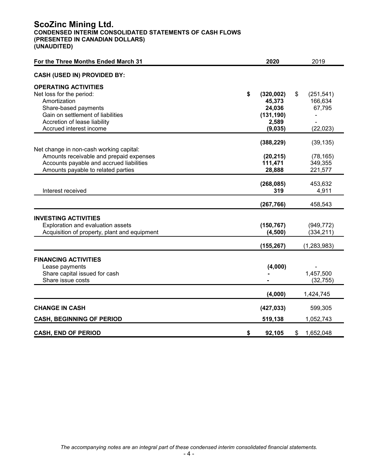# **ScoZinc Mining Ltd. CONDENSED INTERIM CONSOLIDATED STATEMENTS OF CASH FLOWS (PRESENTED IN CANADIAN DOLLARS) (UNAUDITED)**

| For the Three Months Ended March 31                                                                                                                                                             | 2020                                                                   |    | 2019                                         |
|-------------------------------------------------------------------------------------------------------------------------------------------------------------------------------------------------|------------------------------------------------------------------------|----|----------------------------------------------|
| <b>CASH (USED IN) PROVIDED BY:</b>                                                                                                                                                              |                                                                        |    |                                              |
| <b>OPERATING ACTIVITIES</b><br>Net loss for the period:<br>Amortization<br>Share-based payments<br>Gain on settlement of liabilities<br>Accretion of lease liability<br>Accrued interest income | \$<br>(320, 002)<br>45,373<br>24,036<br>(131, 190)<br>2,589<br>(9,035) | \$ | (251, 541)<br>166,634<br>67,795<br>(22, 023) |
| Net change in non-cash working capital:<br>Amounts receivable and prepaid expenses<br>Accounts payable and accrued liabilities<br>Amounts payable to related parties                            | (388, 229)<br>(20, 215)<br>111,471<br>28,888                           |    | (39, 135)<br>(78, 165)<br>349,355<br>221,577 |
| Interest received                                                                                                                                                                               | (268, 085)<br>319                                                      |    | 453,632<br>4,911                             |
|                                                                                                                                                                                                 | (267, 766)                                                             |    | 458,543                                      |
| <b>INVESTING ACTIVITIES</b><br>Exploration and evaluation assets<br>Acquisition of property, plant and equipment                                                                                | (150, 767)<br>(4,500)                                                  |    | (949, 772)<br>(334, 211)                     |
|                                                                                                                                                                                                 | (155, 267)                                                             |    | (1, 283, 983)                                |
| <b>FINANCING ACTIVITIES</b><br>Lease payments<br>Share capital issued for cash<br>Share issue costs                                                                                             | (4,000)                                                                |    | 1,457,500<br>(32, 755)                       |
|                                                                                                                                                                                                 | (4,000)                                                                |    | 1,424,745                                    |
| <b>CHANGE IN CASH</b><br><b>CASH, BEGINNING OF PERIOD</b>                                                                                                                                       | (427, 033)<br>519,138                                                  |    | 599,305<br>1,052,743                         |
| <b>CASH, END OF PERIOD</b>                                                                                                                                                                      | \$<br>92,105                                                           | S  | 1,652,048                                    |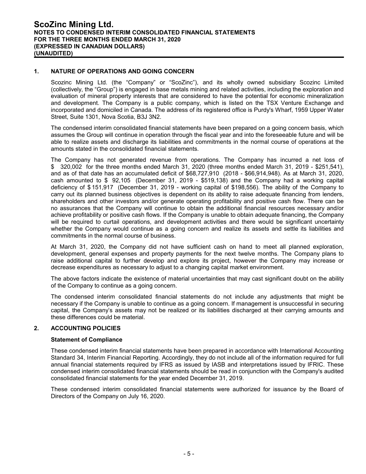#### **1. NATURE OF OPERATIONS AND GOING CONCERN**

Scozinc Mining Ltd. (the "Company" or "ScoZinc"), and its wholly owned subsidiary Scozinc Limited (collectively, the "Group") is engaged in base metals mining and related activities, including the exploration and evaluation of mineral property interests that are considered to have the potential for economic mineralization and development. The Company is a public company, which is listed on the TSX Venture Exchange and incorporated and domiciled in Canada. The address of its registered office is Purdy's Wharf, 1959 Upper Water Street, Suite 1301, Nova Scotia, B3J 3N2.

The condensed interim consolidated financial statements have been prepared on a going concern basis, which assumes the Group will continue in operation through the fiscal year and into the foreseeable future and will be able to realize assets and discharge its liabilities and commitments in the normal course of operations at the amounts stated in the consolidated financial statements.

The Company has not generated revenue from operations. The Company has incurred a net loss of \$ 320,002 for the three months ended March 31, 2020 (three months ended March 31, 2019 - \$251,541), and as of that date has an accumulated deficit of \$68,727,910 (2018 - \$66,914,948). As at March 31, 2020, cash amounted to \$ 92,105 (December 31, 2019 - \$519,138) and the Company had a working capital deficiency of \$ 151,917 (December 31, 2019 - working capital of \$198,556). The ability of the Company to carry out its planned business objectives is dependent on its ability to raise adequate financing from lenders, shareholders and other investors and/or generate operating profitability and positive cash flow. There can be no assurances that the Company will continue to obtain the additional financial resources necessary and/or achieve profitability or positive cash flows. If the Company is unable to obtain adequate financing, the Company will be required to curtail operations, and development activities and there would be significant uncertainty whether the Company would continue as a going concern and realize its assets and settle its liabilities and commitments in the normal course of business.

At March 31, 2020, the Company did not have sufficient cash on hand to meet all planned exploration, development, general expenses and property payments for the next twelve months. The Company plans to raise additional capital to further develop and explore its project, however the Company may increase or decrease expenditures as necessary to adjust to a changing capital market environment.

The above factors indicate the existence of material uncertainties that may cast significant doubt on the ability of the Company to continue as a going concern.

The condensed interim consolidated financial statements do not include any adjustments that might be necessary if the Company is unable to continue as a going concern. If management is unsuccessful in securing capital, the Company's assets may not be realized or its liabilities discharged at their carrying amounts and these differences could be material.

#### **2. ACCOUNTING POLICIES**

#### **Statement of Compliance**

These condensed interim financial statements have been prepared in accordance with International Accounting Standard 34, Interim Financial Reporting. Accordingly, they do not include all of the information required for full annual financial statements required by IFRS as issued by IASB and interpretations issued by IFRIC. These condensed interim consolidated financial statements should be read in conjunction with the Company's audited consolidated financial statements for the year ended December 31, 2019.

These condensed interim consolidated financial statements were authorized for issuance by the Board of Directors of the Company on July 16, 2020.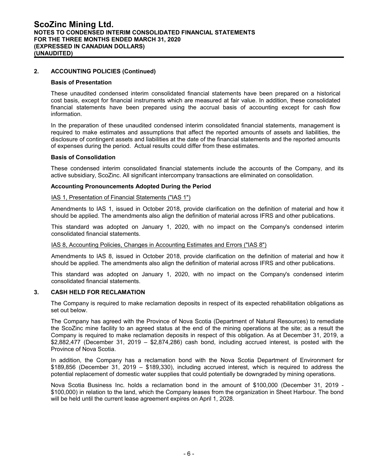#### **2. ACCOUNTING POLICIES (Continued)**

#### **Basis of Presentation**

These unaudited condensed interim consolidated financial statements have been prepared on a historical cost basis, except for financial instruments which are measured at fair value. In addition, these consolidated financial statements have been prepared using the accrual basis of accounting except for cash flow information.

In the preparation of these unaudited condensed interim consolidated financial statements, management is required to make estimates and assumptions that affect the reported amounts of assets and liabilities, the disclosure of contingent assets and liabilities at the date of the financial statements and the reported amounts of expenses during the period. Actual results could differ from these estimates.

#### **Basis of Consolidation**

These condensed interim consolidated financial statements include the accounts of the Company, and its active subsidiary, ScoZinc. All significant intercompany transactions are eliminated on consolidation.

#### **Accounting Pronouncements Adopted During the Period**

#### IAS 1, Presentation of Financial Statements ("IAS 1")

Amendments to IAS 1, issued in October 2018, provide clarification on the definition of material and how it should be applied. The amendments also align the definition of material across IFRS and other publications.

This standard was adopted on January 1, 2020, with no impact on the Company's condensed interim consolidated financial statements.

#### IAS 8, Accounting Policies, Changes in Accounting Estimates and Errors ("IAS 8")

Amendments to IAS 8, issued in October 2018, provide clarification on the definition of material and how it should be applied. The amendments also align the definition of material across IFRS and other publications.

This standard was adopted on January 1, 2020, with no impact on the Company's condensed interim consolidated financial statements.

#### **3. CASH HELD FOR RECLAMATION**

The Company is required to make reclamation deposits in respect of its expected rehabilitation obligations as set out below.

The Company has agreed with the Province of Nova Scotia (Department of Natural Resources) to remediate the ScoZinc mine facility to an agreed status at the end of the mining operations at the site; as a result the Company is required to make reclamation deposits in respect of this obligation. As at December 31, 2019, a \$2,882,477 (December 31, 2019 – \$2,874,286) cash bond, including accrued interest, is posted with the Province of Nova Scotia.

In addition, the Company has a reclamation bond with the Nova Scotia Department of Environment for \$189,856 (December 31, 2019 – \$189,330), including accrued interest, which is required to address the potential replacement of domestic water supplies that could potentially be downgraded by mining operations.

Nova Scotia Business Inc. holds a reclamation bond in the amount of \$100,000 (December 31, 2019 - \$100,000) in relation to the land, which the Company leases from the organization in Sheet Harbour. The bond will be held until the current lease agreement expires on April 1, 2028.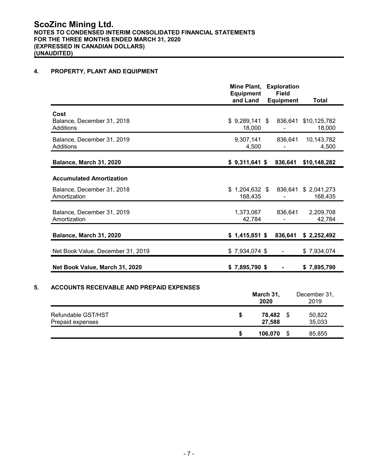### **4. PROPERTY, PLANT AND EQUIPMENT**

|                                                 | Mine Plant,<br><b>Equipment</b><br>and Land | <b>Exploration</b><br><b>Field</b><br><b>Equipment</b> | <b>Total</b>           |
|-------------------------------------------------|---------------------------------------------|--------------------------------------------------------|------------------------|
| Cost<br>Balance, December 31, 2018<br>Additions | $$9,289,141$ \$<br>18,000                   | 836,641                                                | \$10,125,782<br>18,000 |
| Balance, December 31, 2019<br>Additions         | 9,307,141<br>4,500                          | 836,641                                                | 10,143,782<br>4,500    |
| Balance, March 31, 2020                         | $$9,311,641$ \$                             | 836,641                                                | \$10,148,282           |
| <b>Accumulated Amortization</b>                 |                                             |                                                        |                        |
| Balance, December 31, 2018<br>Amortization      | $$1,204,632$ \$<br>168,435                  | 836,641                                                | \$2,041,273<br>168,435 |
| Balance, December 31, 2019<br>Amortization      | 1,373,067<br>42,784                         | 836,641                                                | 2,209,708<br>42,784    |
| Balance, March 31, 2020                         | $$1,415,851$ \$                             | 836,641                                                | \$2,252,492            |
| Net Book Value, December 31, 2019               | $$7,934,074$ \$                             |                                                        | \$7,934,074            |
| Net Book Value, March 31, 2020                  | $$7,895,790$ \$                             |                                                        | \$7,895,790            |
| <b>ACCOUNTS RECEIVABLE AND PREPAID EXPENSES</b> |                                             | March 31,<br>2020                                      | December 31,<br>2019   |
| Refundable GST/HST<br>Prepaid expenses          | \$                                          | 78,482<br>\$<br>27,588                                 | 50,822<br>35,033       |

**\$ 106,070** \$ 85,855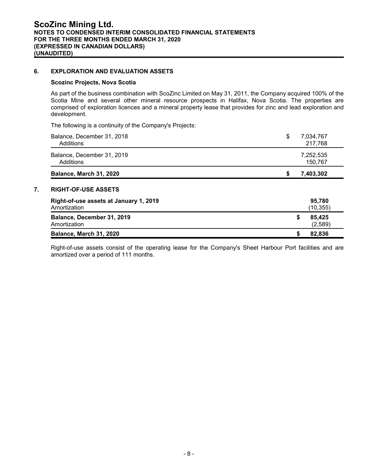#### **6. EXPLORATION AND EVALUATION ASSETS**

#### **Scozinc Projects, Nova Scotia**

As part of the business combination with ScoZinc Limited on May 31, 2011, the Company acquired 100% of the Scotia Mine and several other mineral resource prospects in Halifax, Nova Scotia. The properties are comprised of exploration licences and a mineral property lease that provides for zinc and lead exploration and development.

The following is a continuity of the Company's Projects:

| Balance, December 31, 2018<br>Additions                              | \$<br>7,034,767<br>217,768 |
|----------------------------------------------------------------------|----------------------------|
| Balance, December 31, 2019<br>Additions                              | 7,252,535<br>150,767       |
| Balance, March 31, 2020                                              | 7,403,302<br>S             |
| <b>RIGHT-OF-USE ASSETS</b><br>Right-of-use assets at January 1, 2019 | 95,780                     |
| Amortization                                                         | (10, 355)                  |
|                                                                      |                            |
| Balance, December 31, 2019<br>Amortization                           | \$<br>85.425<br>(2,589)    |

Right-of-use assets consist of the operating lease for the Company's Sheet Harbour Port facilities and are amortized over a period of 111 months.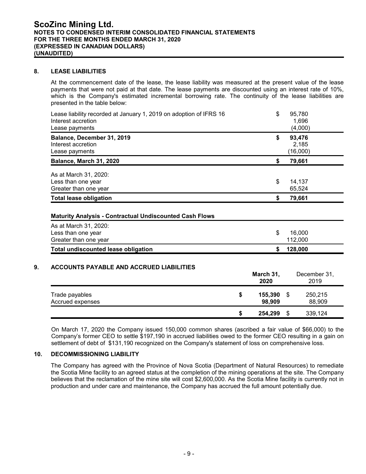#### **8. LEASE LIABILITIES**

At the commencement date of the lease, the lease liability was measured at the present value of the lease payments that were not paid at that date. The lease payments are discounted using an interest rate of 10%, which is the Company's estimated incremental borrowing rate. The continuity of the lease liabilities are presented in the table below:

| Lease liability recorded at January 1, 2019 on adoption of IFRS 16<br>Interest accretion<br>Lease payments | \$<br>95,780<br>1,696<br>(4,000)  |
|------------------------------------------------------------------------------------------------------------|-----------------------------------|
| Balance, December 31, 2019<br>Interest accretion<br>Lease payments                                         | \$<br>93,476<br>2,185<br>(16,000) |
| Balance, March 31, 2020                                                                                    | \$<br>79,661                      |
| As at March 31, 2020:<br>Less than one year<br>Greater than one year                                       | \$<br>14,137<br>65,524            |
| <b>Total lease obligation</b>                                                                              | \$<br>79,661                      |
| <b>Maturity Analysis - Contractual Undiscounted Cash Flows</b>                                             |                                   |
|                                                                                                            |                                   |
| As at March 31, 2020:<br>Less than one year<br>Greater than one year                                       | \$<br>16,000<br>112,000           |

|                                    |   | March 31,<br>2020 | December 31,<br>2019 |
|------------------------------------|---|-------------------|----------------------|
| Trade payables<br>Accrued expenses | S | 155,390<br>98,909 | 250,215<br>88,909    |
|                                    | S | 254,299           | 339,124              |

On March 17, 2020 the Company issued 150,000 common shares (ascribed a fair value of \$66,000) to the Company's former CEO to settle \$197,190 in accrued liabilities owed to the former CEO resulting in a gain on settlement of debt of \$131,190 recognized on the Company's statement of loss on comprehensive loss.

#### **10. DECOMMISSIONING LIABILITY**

The Company has agreed with the Province of Nova Scotia (Department of Natural Resources) to remediate the Scotia Mine facility to an agreed status at the completion of the mining operations at the site. The Company believes that the reclamation of the mine site will cost \$2,600,000. As the Scotia Mine facility is currently not in production and under care and maintenance, the Company has accrued the full amount potentially due.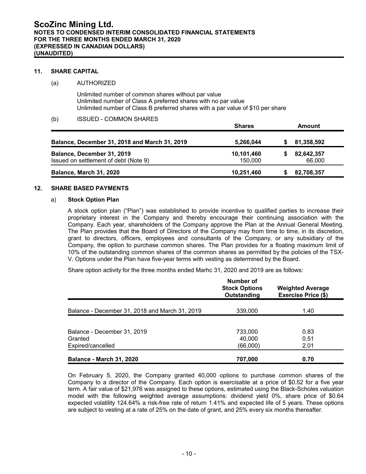#### **11. SHARE CAPITAL**

#### (a) AUTHORIZED

Unlimited number of common shares without par value Unlimited number of Class A preferred shares with no par value Unlimited number of Class B preferred shares with a par value of \$10 per share

#### (b) ISSUED - COMMON SHARES

|                                               | <b>Shares</b> | <b>Amount</b> |  |
|-----------------------------------------------|---------------|---------------|--|
| Balance, December 31, 2018 and March 31, 2019 | 5,266,044     | 81,358,592    |  |
| Balance, December 31, 2019                    | 10,101,460    | 82,642,357    |  |
| Issued on settlement of debt (Note 9)         | 150,000       | 66,000        |  |
| Balance, March 31, 2020                       | 10,251,460    | 82,708,357    |  |

#### **12. SHARE BASED PAYMENTS**

#### a) **Stock Option Plan**

A stock option plan ("Plan") was established to provide incentive to qualified parties to increase their proprietary interest in the Company and thereby encourage their continuing association with the Company. Each year, shareholders of the Company approve the Plan at the Annual General Meeting. The Plan provides that the Board of Directors of the Company may from time to time, in its discretion, grant to directors, officers, employees and consultants of the Company, or any subsidiary of the Company, the option to purchase common shares. The Plan provides for a floating maximum limit of 10% of the outstanding common shares of the common shares as permitted by the policies of the TSX-V. Options under the Plan have five-year terms with vesting as determined by the Board.

Share option activity for the three months ended Marhc 31, 2020 and 2019 are as follows:

|                                                             | Number of<br><b>Stock Options</b><br>Outstanding | <b>Weighted Average</b><br><b>Exercise Price (\$)</b> |
|-------------------------------------------------------------|--------------------------------------------------|-------------------------------------------------------|
| Balance - December 31, 2018 and March 31, 2019              | 339,000                                          | 1.40                                                  |
| Balance - December 31, 2019<br>Granted<br>Expired/cancelled | 733,000<br>40.000<br>(66,000)                    | 0.83<br>0.51<br>2.01                                  |
| <b>Balance - March 31, 2020</b>                             | 707.000                                          | 0.70                                                  |

On February 5, 2020, the Company granted 40,000 options to purchase common shares of the Company to a director of the Company. Each option is exercisable at a price of \$0.52 for a five year term. A fair value of \$21,976 was assigned to these options, estimated using the Black-Scholes valuation model with the following weighted average assumptions: dividend yield 0%, share price of \$0.64 expected volatility 124.64% a risk-free rate of return 1.41% and expected life of 5 years. These options are subject to vesting at a rate of 25% on the date of grant, and 25% every six months thereafter.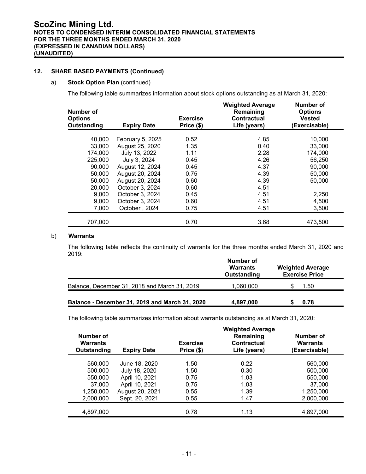#### **12. SHARE BASED PAYMENTS (Continued)**

#### a) **Stock Option Plan** (continued)

The following table summarizes information about stock options outstanding as at March 31, 2020:

| Number of<br><b>Options</b><br>Outstanding | <b>Expiry Date</b> | <b>Exercise</b><br>Price (\$) | <b>Weighted Average</b><br>Remaining<br><b>Contractual</b><br>Life (years) | Number of<br><b>Options</b><br><b>Vested</b><br>(Exercisable) |
|--------------------------------------------|--------------------|-------------------------------|----------------------------------------------------------------------------|---------------------------------------------------------------|
| 40,000                                     | February 5, 2025   | 0.52                          | 4.85                                                                       | 10,000                                                        |
| 33,000                                     | August 25, 2020    | 1.35                          | 0.40                                                                       | 33,000                                                        |
| 174,000                                    | July 13, 2022      | 1.11                          | 2.28                                                                       | 174,000                                                       |
| 225,000                                    | July 3, 2024       | 0.45                          | 4.26                                                                       | 56,250                                                        |
| 90,000                                     | August 12, 2024    | 0.45                          | 4.37                                                                       | 90,000                                                        |
| 50,000                                     | August 20, 2024    | 0.75                          | 4.39                                                                       | 50,000                                                        |
| 50,000                                     | August 20, 2024    | 0.60                          | 4.39                                                                       | 50,000                                                        |
| 20,000                                     | October 3, 2024    | 0.60                          | 4.51                                                                       |                                                               |
| 9,000                                      | October 3, 2024    | 0.45                          | 4.51                                                                       | 2,250                                                         |
| 9,000                                      | October 3, 2024    | 0.60                          | 4.51                                                                       | 4,500                                                         |
| 7,000                                      | October, 2024      | 0.75                          | 4.51                                                                       | 3,500                                                         |
| 707,000                                    |                    | 0.70                          | 3.68                                                                       | 473,500                                                       |

#### b) **Warrants**

The following table reflects the continuity of warrants for the three months ended March 31, 2020 and 2019:

|                                                | Number of<br><b>Warrants</b><br>Outstanding | <b>Weighted Average</b><br><b>Exercise Price</b> |
|------------------------------------------------|---------------------------------------------|--------------------------------------------------|
| Balance, December 31, 2018 and March 31, 2019  | 1,060,000                                   | 1.50                                             |
| Balance - December 31, 2019 and March 31, 2020 | 4,897,000                                   | 0.78                                             |

The following table summarizes information about warrants outstanding as at March 31, 2020:

| Number of<br>Warrants<br>Outstanding | <b>Expiry Date</b> | <b>Exercise</b><br>Price (\$) | <b>Weighted Average</b><br>Remaining<br>Contractual<br>Life (years) | Number of<br><b>Warrants</b><br>(Exercisable) |
|--------------------------------------|--------------------|-------------------------------|---------------------------------------------------------------------|-----------------------------------------------|
| 560,000                              | June 18, 2020      | 1.50                          | 0.22                                                                | 560,000                                       |
| 500,000                              | July 18, 2020      | 1.50                          | 0.30                                                                | 500,000                                       |
| 550,000                              | April 10, 2021     | 0.75                          | 1.03                                                                | 550,000                                       |
| 37,000                               | April 10, 2021     | 0.75                          | 1.03                                                                | 37,000                                        |
| 1,250,000                            | August 20, 2021    | 0.55                          | 1.39                                                                | 1,250,000                                     |
| 2,000,000                            | Sept. 20, 2021     | 0.55                          | 1.47                                                                | 2,000,000                                     |
| 4,897,000                            |                    | 0.78                          | 1.13                                                                | 4,897,000                                     |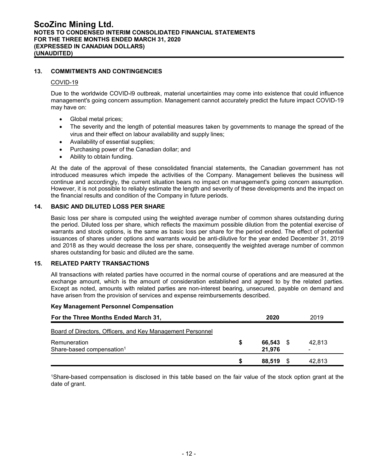#### **13. COMMITMENTS AND CONTINGENCIES**

#### COVID-19

Due to the worldwide COVID-l9 outbreak, material uncertainties may come into existence that could influence management's going concern assumption. Management cannot accurately predict the future impact COVID-19 may have on:

- Global metal prices;
- The severity and the length of potential measures taken by governments to manage the spread of the virus and their effect on labour availability and supply lines;
- Availability of essential supplies;
- Purchasing power of the Canadian dollar; and
- Ability to obtain funding.

At the date of the approval of these consolidated financial statements, the Canadian government has not introduced measures which impede the activities of the Company. Management believes the business will continue and accordingly, the current situation bears no impact on management's going concern assumption. However, it is not possible to reliably estimate the length and severity of these developments and the impact on the financial results and condition of the Company in future periods.

#### **14. BASIC AND DILUTED LOSS PER SHARE**

Basic loss per share is computed using the weighted average number of common shares outstanding during the period. Diluted loss per share, which reflects the maximum possible dilution from the potential exercise of warrants and stock options, is the same as basic loss per share for the period ended. The effect of potential issuances of shares under options and warrants would be anti-dilutive for the year ended December 31, 2019 and 2018 as they would decrease the loss per share, consequently the weighted average number of common shares outstanding for basic and diluted are the same.

#### **15. RELATED PARTY TRANSACTIONS**

All transactions with related parties have occurred in the normal course of operations and are measured at the exchange amount, which is the amount of consideration established and agreed to by the related parties. Except as noted, amounts with related parties are non-interest bearing, unsecured, payable on demand and have arisen from the provision of services and expense reimbursements described.

#### **Key Management Personnel Compensation**

| For the Three Months Ended March 31,                       |   | 2020      | 2019   |
|------------------------------------------------------------|---|-----------|--------|
| Board of Directors, Officers, and Key Management Personnel |   |           |        |
| Remuneration                                               | S | 66,543 \$ | 42.813 |
| Share-based compensation <sup>1</sup>                      |   | 21.976    |        |
|                                                            | S | 88.519 \$ | 42.813 |

<sup>1</sup>Share-based compensation is disclosed in this table based on the fair value of the stock option grant at the date of grant.